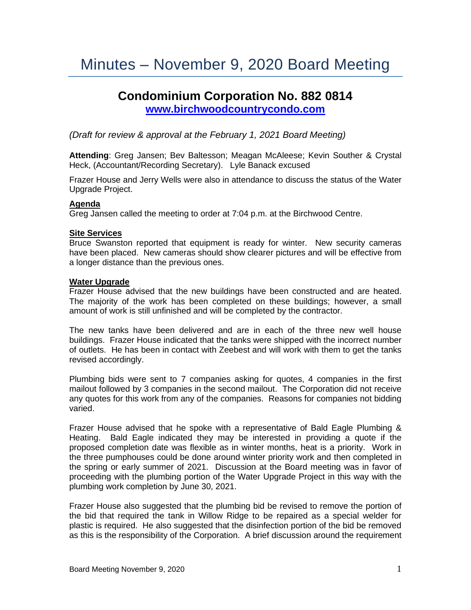# **Condominium Corporation No. 882 0814 [www.birchwoodcountrycondo.com](http://www.birchwoodcountrycondo.com/)**

*(Draft for review & approval at the February 1, 2021 Board Meeting)*

**Attending**: Greg Jansen; Bev Baltesson; Meagan McAleese; Kevin Souther & Crystal Heck, (Accountant/Recording Secretary). Lyle Banack excused

Frazer House and Jerry Wells were also in attendance to discuss the status of the Water Upgrade Project.

#### **Agenda**

Greg Jansen called the meeting to order at 7:04 p.m. at the Birchwood Centre.

#### **Site Services**

Bruce Swanston reported that equipment is ready for winter. New security cameras have been placed. New cameras should show clearer pictures and will be effective from a longer distance than the previous ones.

#### **Water Upgrade**

Frazer House advised that the new buildings have been constructed and are heated. The majority of the work has been completed on these buildings; however, a small amount of work is still unfinished and will be completed by the contractor.

The new tanks have been delivered and are in each of the three new well house buildings. Frazer House indicated that the tanks were shipped with the incorrect number of outlets. He has been in contact with Zeebest and will work with them to get the tanks revised accordingly.

Plumbing bids were sent to 7 companies asking for quotes, 4 companies in the first mailout followed by 3 companies in the second mailout. The Corporation did not receive any quotes for this work from any of the companies. Reasons for companies not bidding varied.

Frazer House advised that he spoke with a representative of Bald Eagle Plumbing & Heating. Bald Eagle indicated they may be interested in providing a quote if the proposed completion date was flexible as in winter months, heat is a priority. Work in the three pumphouses could be done around winter priority work and then completed in the spring or early summer of 2021. Discussion at the Board meeting was in favor of proceeding with the plumbing portion of the Water Upgrade Project in this way with the plumbing work completion by June 30, 2021.

Frazer House also suggested that the plumbing bid be revised to remove the portion of the bid that required the tank in Willow Ridge to be repaired as a special welder for plastic is required. He also suggested that the disinfection portion of the bid be removed as this is the responsibility of the Corporation. A brief discussion around the requirement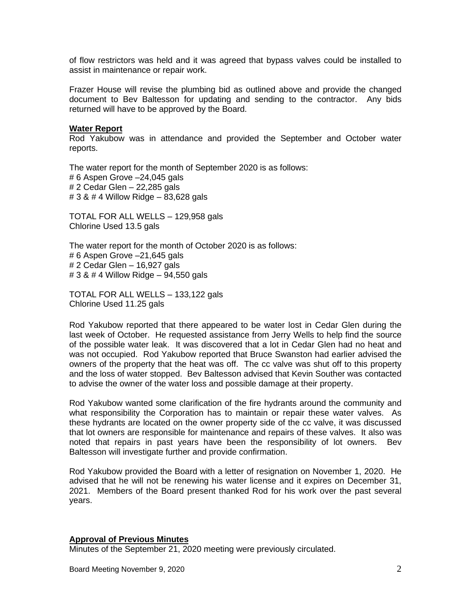of flow restrictors was held and it was agreed that bypass valves could be installed to assist in maintenance or repair work.

Frazer House will revise the plumbing bid as outlined above and provide the changed document to Bev Baltesson for updating and sending to the contractor. Any bids returned will have to be approved by the Board.

#### **Water Report**

Rod Yakubow was in attendance and provided the September and October water reports.

The water report for the month of September 2020 is as follows: # 6 Aspen Grove –24,045 gals # 2 Cedar Glen – 22,285 gals # 3 & # 4 Willow Ridge – 83,628 gals

TOTAL FOR ALL WELLS – 129,958 gals Chlorine Used 13.5 gals

The water report for the month of October 2020 is as follows: # 6 Aspen Grove –21,645 gals # 2 Cedar Glen – 16,927 gals # 3 & # 4 Willow Ridge – 94,550 gals

TOTAL FOR ALL WELLS – 133,122 gals Chlorine Used 11.25 gals

Rod Yakubow reported that there appeared to be water lost in Cedar Glen during the last week of October. He requested assistance from Jerry Wells to help find the source of the possible water leak. It was discovered that a lot in Cedar Glen had no heat and was not occupied. Rod Yakubow reported that Bruce Swanston had earlier advised the owners of the property that the heat was off. The cc valve was shut off to this property and the loss of water stopped. Bev Baltesson advised that Kevin Souther was contacted to advise the owner of the water loss and possible damage at their property.

Rod Yakubow wanted some clarification of the fire hydrants around the community and what responsibility the Corporation has to maintain or repair these water valves. As these hydrants are located on the owner property side of the cc valve, it was discussed that lot owners are responsible for maintenance and repairs of these valves. It also was noted that repairs in past years have been the responsibility of lot owners. Bev Baltesson will investigate further and provide confirmation.

Rod Yakubow provided the Board with a letter of resignation on November 1, 2020. He advised that he will not be renewing his water license and it expires on December 31, 2021. Members of the Board present thanked Rod for his work over the past several years.

#### **Approval of Previous Minutes**

Minutes of the September 21, 2020 meeting were previously circulated.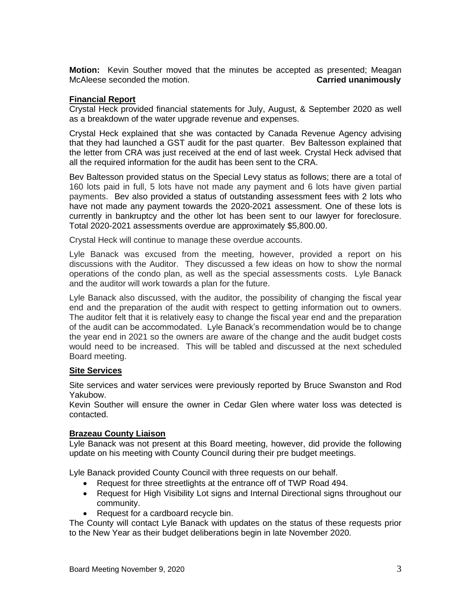**Motion:** Kevin Souther moved that the minutes be accepted as presented; Meagan McAleese seconded the motion. **Carried unanimously**

## **Financial Report**

Crystal Heck provided financial statements for July, August, & September 2020 as well as a breakdown of the water upgrade revenue and expenses.

Crystal Heck explained that she was contacted by Canada Revenue Agency advising that they had launched a GST audit for the past quarter. Bev Baltesson explained that the letter from CRA was just received at the end of last week. Crystal Heck advised that all the required information for the audit has been sent to the CRA.

Bev Baltesson provided status on the Special Levy status as follows; there are a total of 160 lots paid in full, 5 lots have not made any payment and 6 lots have given partial payments. Bev also provided a status of outstanding assessment fees with 2 lots who have not made any payment towards the 2020-2021 assessment. One of these lots is currently in bankruptcy and the other lot has been sent to our lawyer for foreclosure. Total 2020-2021 assessments overdue are approximately \$5,800.00.

Crystal Heck will continue to manage these overdue accounts.

Lyle Banack was excused from the meeting, however, provided a report on his discussions with the Auditor. They discussed a few ideas on how to show the normal operations of the condo plan, as well as the special assessments costs. Lyle Banack and the auditor will work towards a plan for the future.

Lyle Banack also discussed, with the auditor, the possibility of changing the fiscal year end and the preparation of the audit with respect to getting information out to owners. The auditor felt that it is relatively easy to change the fiscal year end and the preparation of the audit can be accommodated. Lyle Banack's recommendation would be to change the year end in 2021 so the owners are aware of the change and the audit budget costs would need to be increased. This will be tabled and discussed at the next scheduled Board meeting.

#### **Site Services**

Site services and water services were previously reported by Bruce Swanston and Rod Yakubow.

Kevin Souther will ensure the owner in Cedar Glen where water loss was detected is contacted.

#### **Brazeau County Liaison**

Lyle Banack was not present at this Board meeting, however, did provide the following update on his meeting with County Council during their pre budget meetings.

Lyle Banack provided County Council with three requests on our behalf.

- Request for three streetlights at the entrance off of TWP Road 494.
- Request for High Visibility Lot signs and Internal Directional signs throughout our community.
- Request for a cardboard recycle bin.

The County will contact Lyle Banack with updates on the status of these requests prior to the New Year as their budget deliberations begin in late November 2020.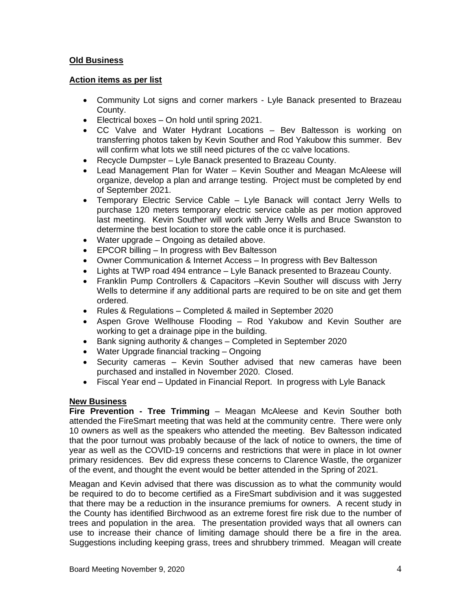# **Old Business**

## **Action items as per list**

- Community Lot signs and corner markers Lyle Banack presented to Brazeau County.
- Electrical boxes On hold until spring 2021.
- CC Valve and Water Hydrant Locations Bev Baltesson is working on transferring photos taken by Kevin Souther and Rod Yakubow this summer. Bev will confirm what lots we still need pictures of the cc valve locations.
- Recycle Dumpster Lyle Banack presented to Brazeau County.
- Lead Management Plan for Water Kevin Souther and Meagan McAleese will organize, develop a plan and arrange testing. Project must be completed by end of September 2021.
- Temporary Electric Service Cable Lyle Banack will contact Jerry Wells to purchase 120 meters temporary electric service cable as per motion approved last meeting. Kevin Souther will work with Jerry Wells and Bruce Swanston to determine the best location to store the cable once it is purchased.
- Water upgrade Ongoing as detailed above.
- EPCOR billing In progress with Bev Baltesson
- Owner Communication & Internet Access In progress with Bev Baltesson
- Lights at TWP road 494 entrance Lyle Banack presented to Brazeau County.
- Franklin Pump Controllers & Capacitors –Kevin Souther will discuss with Jerry Wells to determine if any additional parts are required to be on site and get them ordered.
- Rules & Regulations Completed & mailed in September 2020
- Aspen Grove Wellhouse Flooding Rod Yakubow and Kevin Souther are working to get a drainage pipe in the building.
- Bank signing authority & changes Completed in September 2020
- Water Upgrade financial tracking Ongoing
- Security cameras Kevin Souther advised that new cameras have been purchased and installed in November 2020. Closed.
- Fiscal Year end Updated in Financial Report. In progress with Lyle Banack

#### **New Business**

**Fire Prevention - Tree Trimming** – Meagan McAleese and Kevin Souther both attended the FireSmart meeting that was held at the community centre. There were only 10 owners as well as the speakers who attended the meeting. Bev Baltesson indicated that the poor turnout was probably because of the lack of notice to owners, the time of year as well as the COVID-19 concerns and restrictions that were in place in lot owner primary residences. Bev did express these concerns to Clarence Wastle, the organizer of the event, and thought the event would be better attended in the Spring of 2021.

Meagan and Kevin advised that there was discussion as to what the community would be required to do to become certified as a FireSmart subdivision and it was suggested that there may be a reduction in the insurance premiums for owners. A recent study in the County has identified Birchwood as an extreme forest fire risk due to the number of trees and population in the area. The presentation provided ways that all owners can use to increase their chance of limiting damage should there be a fire in the area. Suggestions including keeping grass, trees and shrubbery trimmed. Meagan will create